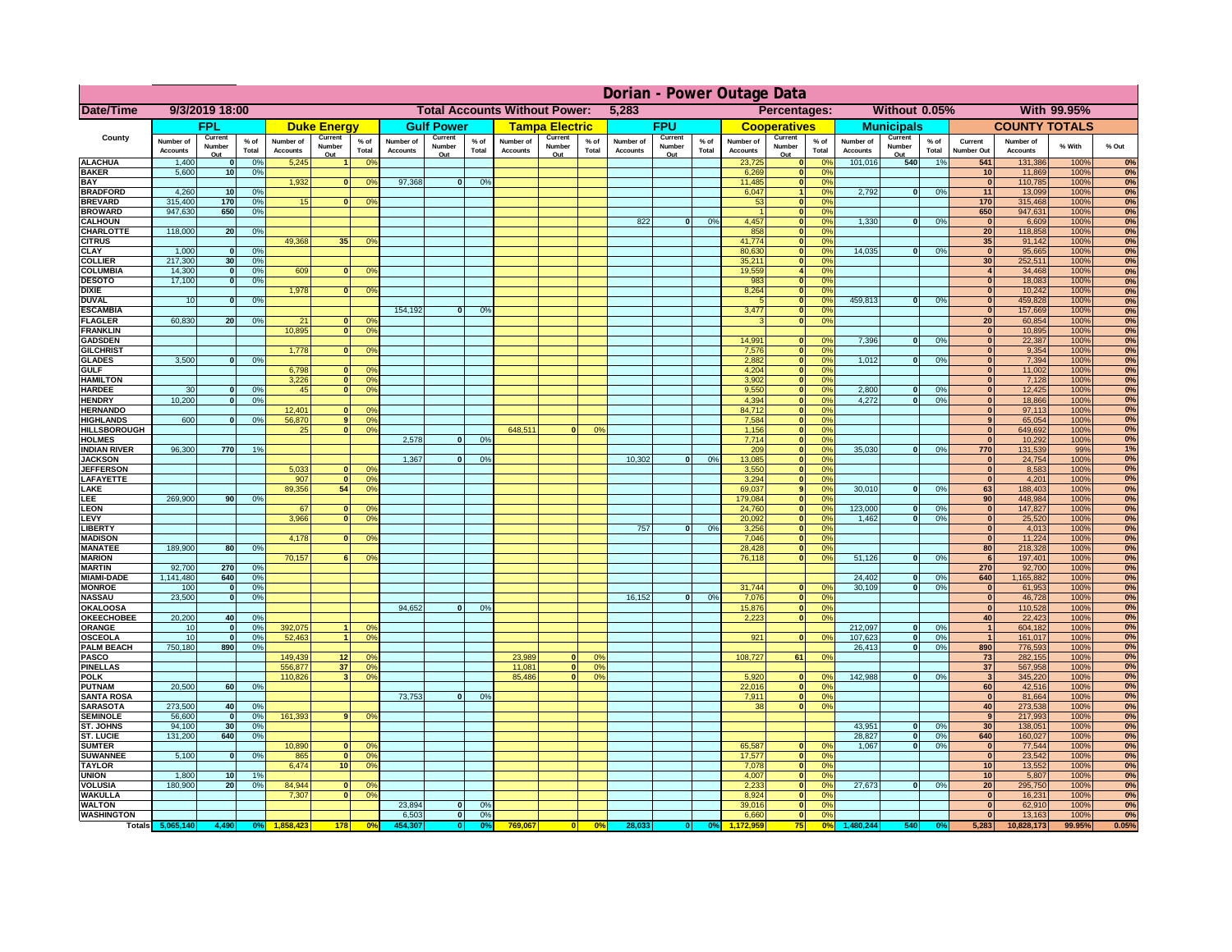|                                      | Dorian - Power Outage Data   |                                 |               |                              |                          |                                                  |                                               |                          |                 |                              |                          |                                              |                              |                          |               |                              |                               |                                   |                              |                          |                 |                                  |                              |              |          |
|--------------------------------------|------------------------------|---------------------------------|---------------|------------------------------|--------------------------|--------------------------------------------------|-----------------------------------------------|--------------------------|-----------------|------------------------------|--------------------------|----------------------------------------------|------------------------------|--------------------------|---------------|------------------------------|-------------------------------|-----------------------------------|------------------------------|--------------------------|-----------------|----------------------------------|------------------------------|--------------|----------|
| Date/Time                            | 9/3/2019 18:00               |                                 |               |                              |                          |                                                  | <b>Total Accounts Without Power:</b><br>5,283 |                          |                 |                              |                          | Without 0.05%<br>With 99.95%<br>Percentages: |                              |                          |               |                              |                               |                                   |                              |                          |                 |                                  |                              |              |          |
|                                      |                              | <b>FPL</b>                      |               |                              | <b>Duke Energy</b>       |                                                  |                                               | <b>Gulf Power</b>        |                 |                              | <b>Tampa Electric</b>    |                                              |                              | <b>FPU</b>               |               |                              | <b>Cooperatives</b>           |                                   |                              | <b>Municipals</b>        |                 |                                  | <b>COUNTY TOTALS</b>         |              |          |
| County                               | Number of<br><b>Accounts</b> | Current<br>Number<br>Out        | % of<br>Total | Number of<br><b>Accounts</b> | Current<br>Number<br>Out | $%$ of<br>Total                                  | Number of<br><b>Accounts</b>                  | Current<br>Number<br>Out | $%$ of<br>Total | Number of<br><b>Accounts</b> | Current<br>Number<br>Out | $%$ of<br>Total                              | Number of<br><b>Accounts</b> | Current<br>Number<br>Out | % of<br>Total | Number of<br><b>Accounts</b> | Current<br>Number<br>Out      | $%$ of<br>Total                   | Number of<br><b>Accounts</b> | Current<br>Number<br>Out | $%$ of<br>Total | Current<br>Number Out            | Number of<br><b>Accounts</b> | % With       | % Out    |
| <b>ALACHUA</b>                       | 1,400                        | $\mathbf{0}$                    | 0%            | 5,245                        |                          | 0 <sup>o</sup>                                   |                                               |                          |                 |                              |                          |                                              |                              |                          |               | 23,725                       | $\mathbf 0$                   | 0 <sup>9</sup>                    | 101,016                      | 540                      | 1%              | 541                              | 131,386                      | 100%         | 0%       |
| <b>BAKER</b><br><b>BAY</b>           | 5,600                        | 10                              | 0%            | 1,932                        | $\bf{0}$                 | 0 <sup>o</sup>                                   | 97,368                                        | $\mathbf{0}$             | 0%              |                              |                          |                                              |                              |                          |               | 6,269<br>11,485              | $\bf{0}$<br> 0                | 0%<br>0 <sup>9</sup>              |                              |                          |                 | 10<br>$\mathbf{0}$               | 11,869<br>110,785            | 100%<br>100% | 0%<br>0% |
| <b>BRADFORD</b>                      | 4,260                        | 10                              | 0%            |                              |                          |                                                  |                                               |                          |                 |                              |                          |                                              |                              |                          |               | 6,047                        | $\mathbf{1}$                  | 0 <sup>9</sup>                    | 2,792                        | 0                        | 0%              | 11                               | 13,099                       | 100%         | 0%       |
| <b>BREVARD</b>                       | 315,400                      | 170                             | 0%            | 15                           | $\mathbf{0}$             | 0 <sup>o</sup>                                   |                                               |                          |                 |                              |                          |                                              |                              |                          |               | 53                           | 0                             | 0%                                |                              |                          |                 | 170                              | 315,468                      | 100%         | 0%       |
| <b>BROWARD</b><br><b>CALHOUN</b>     | 947,630                      | 650                             | 0%            |                              |                          |                                                  |                                               |                          |                 |                              |                          |                                              | 822                          | $\mathbf{0}$             | 0%            | 4,457                        | 0 <br> 0                      | 0%<br>0%                          | 1,330                        | $\overline{0}$           | 0%              | 650<br>- 0                       | 947,631<br>6,609             | 100%<br>100% | 0%<br>0% |
| <b>CHARLOTTE</b>                     | 118,000                      | 20                              | 0%            |                              |                          |                                                  |                                               |                          |                 |                              |                          |                                              |                              |                          |               | 858                          | 0                             | 0%                                |                              |                          |                 | 20                               | 118,858                      | 100%         | 0%       |
| <b>CITRUS</b>                        |                              |                                 |               | 49,368                       | 35                       | 0 <sup>9</sup>                                   |                                               |                          |                 |                              |                          |                                              |                              |                          |               | 41,774                       | 0                             | 0%                                |                              |                          |                 | 35                               | 91,142                       | 100%         | 0%       |
| <b>CLAY</b><br><b>COLLIER</b>        | 1,000<br>217,300             | $\mathbf{0}$<br>30 <sup>°</sup> | 0%<br>0%      |                              |                          |                                                  |                                               |                          |                 |                              |                          |                                              |                              |                          |               | 80,630<br>35,211             | 0 <br> 0                      | 0%<br>0%                          | 14,035                       | $\mathbf{0}$             | 0%              | $\mathbf{0}$<br>30               | 95,665<br>252,511            | 100%<br>100% | 0%<br>0% |
| <b>COLUMBIA</b>                      | 14,300                       | 0                               | 0%            | 609                          | $\mathbf{0}$             | 0 <sup>9</sup>                                   |                                               |                          |                 |                              |                          |                                              |                              |                          |               | 19,559                       | $\vert$                       | 0%                                |                              |                          |                 | $\overline{4}$                   | 34,468                       | 100%         | 0%       |
| <b>DESOTO</b>                        | 17,100                       | 0                               | 0%            |                              |                          |                                                  |                                               |                          |                 |                              |                          |                                              |                              |                          |               | 983                          | 0                             | 0%                                |                              |                          |                 | $\overline{0}$                   | 18,083                       | 100%         | 0%       |
| <b>DIXIE</b><br><b>DUVAL</b>         | 10                           | 0                               | 0%            | 1,978                        | 0                        | 0 <sup>9</sup>                                   |                                               |                          |                 |                              |                          |                                              |                              |                          |               | 8,264<br>$\sqrt{2}$          | 0 <br>$\overline{\mathbf{0}}$ | 0%<br>0%                          | 459.813                      | $\overline{0}$           | 0%              | $\overline{0}$<br>$\overline{0}$ | 10,242<br>459,828            | 100%<br>100% | 0%<br>0% |
| <b>ESCAMBIA</b>                      |                              |                                 |               |                              |                          |                                                  | 154.192                                       | $\overline{0}$           | 0 <sup>9</sup>  |                              |                          |                                              |                              |                          |               | 3,477                        |                               | $\overline{\mathbf{0}}$<br>0%     |                              |                          |                 | $\overline{0}$                   | 157,669                      | 100%         | 0%       |
| <b>FLAGLER</b>                       | 60.830                       | 20                              | 0%            | 21                           | $\Omega$                 | 0 <sup>9</sup>                                   |                                               |                          |                 |                              |                          |                                              |                              |                          |               | $\mathbf{R}$                 |                               | $\overline{\mathbf{0}}$<br>0%     |                              |                          |                 | $\overline{20}$                  | 60,854                       | 100%         | 0%       |
| <b>FRANKLIN</b><br><b>GADSDEN</b>    |                              |                                 |               | 10.895                       | $\overline{0}$           | 0 <sup>9</sup>                                   |                                               |                          |                 |                              |                          |                                              |                              |                          |               | 14.991                       |                               | 0 <br>0%                          | 7.396                        | $\overline{0}$           | 0%              | 0 <br> 0                         | 10,895<br>22,387             | 100%<br>100% | 0%<br>0% |
| <b>GILCHRIST</b>                     |                              |                                 |               | 1,778                        |                          | $\overline{0}$<br>0 <sup>9</sup>                 |                                               |                          |                 |                              |                          |                                              |                              |                          |               | 7,576                        |                               | 0 <br>0%                          |                              |                          |                 | 0                                | 9,354                        | 100%         | 0%       |
| <b>GLADES</b>                        | 3,500                        | $\mathbf{0}$                    | 0%            |                              |                          |                                                  |                                               |                          |                 |                              |                          |                                              |                              |                          |               | 2,882                        |                               | 0 <br>0%                          | 1,012                        | $\mathbf{0}$             | 0%              | $\mathbf{0}$                     | 7,394                        | 100%         | 0%       |
| <b>GULF</b><br><b>HAMILTON</b>       |                              |                                 |               | 6,798<br>3,226               | $\mathbf{0}$             | 0 <sup>9</sup><br>$\mathbf{0}$<br>0 <sup>9</sup> |                                               |                          |                 |                              |                          |                                              |                              |                          |               | 4,204<br>3,902               |                               | 0 <br>0%<br> 0 <br>0%             |                              |                          |                 | 0 <br> 0                         | 11,002<br>7,128              | 100%<br>100% | 0%<br>0% |
| <b>HARDEE</b>                        | 30                           | $\mathbf{0}$                    | 0%            | 45                           | $\overline{0}$           | 0 <sup>9</sup>                                   |                                               |                          |                 |                              |                          |                                              |                              |                          |               | 9,550                        |                               | $\overline{0}$<br>0%              | 2,800                        | $\mathbf{0}$             | 0%              | 0                                | 12,425                       | 100%         | 0%       |
| <b>HENDRY</b>                        | 10.200                       | $\mathbf{0}$                    | 0%            |                              |                          |                                                  |                                               |                          |                 |                              |                          |                                              |                              |                          |               | 4.394                        |                               | 0 <br>0%                          | 4.272                        | $\mathbf{0}$             | 0%              | 0                                | 18,866                       | 100%         | 0%       |
| <b>HERNANDO</b><br><b>HIGHLANDS</b>  | 600                          | $\mathbf{0}$                    | 0%            | 12.401<br>56,870             | n l                      | 0 <sup>9</sup><br>9<br>0 <sup>9</sup>            |                                               |                          |                 |                              |                          |                                              |                              |                          |               | 84.712<br>7.584              |                               | 0 <br>0%<br> 0 <br>0%             |                              |                          |                 | 0 <br>9 <sup>1</sup>             | 97,113<br>65,054             | 100%<br>100% | 0%<br>0% |
| <b>HILLSBOROUGH</b>                  |                              |                                 |               | 25                           | 0                        | 0 <sup>9</sup>                                   |                                               |                          |                 | 648.511                      |                          | 0%                                           |                              |                          |               | 1.156                        |                               | 0 <br>0%                          |                              |                          |                 | 0                                | 649,692                      | 100%         | 0%       |
| <b>HOLMES</b>                        |                              |                                 |               |                              |                          |                                                  | 2.578                                         | $\Omega$                 | 0%              |                              |                          |                                              |                              |                          |               | 7.714                        |                               | 0 <br>0%                          |                              |                          |                 | 0                                | 10,292                       | 100%         | 0%       |
| INDIAN RIVER<br><b>JACKSON</b>       | 96,300                       | 770                             | 1%            |                              |                          |                                                  | 1,367                                         | $\mathbf{0}$             | 0%              |                              |                          |                                              | 10,302                       | $\Omega$                 | 0%            | 209<br>13,085                |                               | 0 <br>0%<br> 0 <br>0%             | 35,030                       | $\Omega$                 | 0%              | 770<br> 0                        | 131,539<br>24,754            | 99%<br>100%  | 1%<br>0% |
| <b>JEFFERSON</b>                     |                              |                                 |               | 5,033                        | $\mathbf{0}$             | 0 <sup>o</sup>                                   |                                               |                          |                 |                              |                          |                                              |                              |                          |               | 3,550                        |                               | 0%<br> 0                          |                              |                          |                 | 0                                | 8,583                        | 100%         | 0%       |
| <b>LAFAYETTE</b>                     |                              |                                 |               | 907                          | $\Omega$                 | 0 <sup>o</sup>                                   |                                               |                          |                 |                              |                          |                                              |                              |                          |               | 3,294                        |                               | 0 <br>0%                          |                              |                          |                 | 0                                | 4,201                        | 100%         | 0%       |
| LAKE<br>LEE                          | 269,900                      | 90 <sup>1</sup>                 | 0%            | 89,356                       | 54                       | 0 <sup>9</sup>                                   |                                               |                          |                 |                              |                          |                                              |                              |                          |               | 69,037<br>179,084            |                               | 9 <sup>1</sup><br>0%<br> 0 <br>0% | 30,010                       | $\mathbf{0}$             | 0%              | 63<br>90 <sup>1</sup>            | 188,403<br>448,984           | 100%<br>100% | 0%<br>0% |
| LEON                                 |                              |                                 |               | 67                           | $\mathbf{0}$             | $^{\circ}$                                       |                                               |                          |                 |                              |                          |                                              |                              |                          |               | 24,760                       |                               | 0 <br>0%                          | 123,000                      | $\mathbf{0}$             | 0%              | 0                                | 147,827                      | 100%         | 0%       |
| LEVY                                 |                              |                                 |               | 3,966                        | $\Omega$                 | 0 <sup>o</sup>                                   |                                               |                          |                 |                              |                          |                                              |                              |                          |               | 20,092                       |                               | 0 <br>0%                          | 1,462                        | - O I                    | 0%              | 0                                | 25,520                       | 100%         | 0%       |
| <b>LIBERTY</b><br><b>MADISON</b>     |                              |                                 |               | 4,178                        | $\Omega$                 | 0 <sup>9</sup>                                   |                                               |                          |                 |                              |                          |                                              | 757                          | $\mathbf{0}$             | 0%            | 3,256<br>7,046               |                               | 0 <br>0%<br> 0 <br>0%             |                              |                          |                 | 0 <br> 0                         | 4,013<br>11,224              | 100%<br>100% | 0%<br>0% |
| <b>MANATEE</b>                       | 189,900                      | 80                              | 0%            |                              |                          |                                                  |                                               |                          |                 |                              |                          |                                              |                              |                          |               | 28,428                       |                               | 0 <br>0%                          |                              |                          |                 | 80                               | 218,328                      | 100%         | 0%       |
| <b>MARION</b>                        |                              |                                 |               | 70,157                       | 6                        | 0 <sup>9</sup>                                   |                                               |                          |                 |                              |                          |                                              |                              |                          |               | 76,118                       |                               | 0 <br>0%                          | 51,126                       | 0                        | 0%              | 6                                | 197,401                      | 100%         | 0%       |
| <b>MARTIN</b><br><b>MIAMI-DADE</b>   | 92,700<br>1,141,480          | 270<br>640                      | 0%<br>0%      |                              |                          |                                                  |                                               |                          |                 |                              |                          |                                              |                              |                          |               |                              |                               |                                   | 24,402                       | $\mathbf{0}$             | 0%              | 270<br>640                       | 92,700<br>1,165,882          | 100%<br>100% | 0%<br>0% |
| <b>MONROE</b>                        | 100                          | 0                               | 0%            |                              |                          |                                                  |                                               |                          |                 |                              |                          |                                              |                              |                          |               | 31,744                       |                               | 0 <br>$\Omega$ %                  | 30,109                       | -ol                      | 0%              | 0                                | 61,953                       | 100%         | 0%       |
| <b>NASSAU</b>                        | 23,500                       | 0                               | 0%            |                              |                          |                                                  |                                               |                          |                 |                              |                          |                                              | 16,152                       | 0                        | 0%            | 7,076                        |                               | 0%<br> 0                          |                              |                          |                 | 0                                | 46,728                       | 100%         | 0%       |
| <b>OKALOOSA</b><br><b>OKEECHOBEE</b> | 20,200                       | 40                              | 0%            |                              |                          |                                                  | 94,652                                        | $\mathbf{0}$             | 0%              |                              |                          |                                              |                              |                          |               | 15,876                       |                               | 0%<br> 0 <br>0%<br> 0             |                              |                          |                 | 0 <br>40                         | 110,528                      | 100%<br>100% | 0%<br>0% |
| <b>ORANGE</b>                        | 10                           | 0                               | 0%            | 392,075                      | $\mathbf{1}$             | 0 <sup>o</sup>                                   |                                               |                          |                 |                              |                          |                                              |                              |                          |               | 2,223                        |                               |                                   | 212,097                      | $\overline{\mathbf{0}}$  | 0%              | $\vert$ 1                        | 22,423<br>604,182            | 100%         | 0%       |
| <b>OSCEOLA</b>                       | 10                           | 0                               | 0%            | 52,463                       | $\mathbf{1}$             | 0 <sup>9</sup>                                   |                                               |                          |                 |                              |                          |                                              |                              |                          |               | 921                          |                               | 0 <br>0%                          | 107,623                      | - O I                    | 0%              | $\overline{1}$                   | 161,017                      | 100%         | 0%       |
| <b>PALM BEACH</b><br>PASCO           | 750,180                      | 890                             | 0%            | 149,439                      | 12                       | 0 <sup>o</sup>                                   |                                               |                          |                 | 23,989                       | $\Omega$                 | 0%                                           |                              |                          |               | 108,727                      | 61                            | 0%                                | 26,413                       | 0                        | 0%              | 890<br>73                        | 776,593<br>282,155           | 100%<br>100% | 0%<br>0% |
| <b>PINELLAS</b>                      |                              |                                 |               | 556,877                      | 37                       | 0 <sup>9</sup>                                   |                                               |                          |                 | 11,081                       | 0                        | 0%                                           |                              |                          |               |                              |                               |                                   |                              |                          |                 | 37                               | 567,958                      | 100%         | 0%       |
| <b>POLK</b>                          |                              |                                 |               | 110,826                      | 3 <sup>1</sup>           | 0 <sup>9</sup>                                   |                                               |                          |                 | 85,486                       | $\mathbf{0}$             | 0%                                           |                              |                          |               | 5,920                        |                               | 0 <br>0 <sup>9</sup>              | 142,988                      | 0                        | 0%              | 3                                | 345,220                      | 100%         | 0%       |
| <b>PUTNAM</b>                        | 20,500                       | 60                              | 0%            |                              |                          |                                                  | 73,753                                        | $\mathbf{0}$             | 0%              |                              |                          |                                              |                              |                          |               | 22,016                       |                               | 0 <br>0%<br>0%                    |                              |                          |                 | 60 <sup>1</sup><br> 0            | 42,516                       | 100%<br>100% | 0%       |
| <b>SANTA ROSA</b><br><b>SARASOTA</b> | 273,500                      | 40                              | 0%            |                              |                          |                                                  |                                               |                          |                 |                              |                          |                                              |                              |                          |               | 7,911<br>38                  |                               | 0 <br> 0 <br>0%                   |                              |                          |                 | 40 <sup>1</sup>                  | 81,664<br>273,538            | 100%         | 0%<br>0% |
| <b>SEMINOLE</b>                      | 56,600                       | - ol                            | 0%            | 161,393                      | 9 <sup>1</sup>           | 0 <sup>9</sup>                                   |                                               |                          |                 |                              |                          |                                              |                              |                          |               |                              |                               |                                   |                              |                          |                 | 9                                | 217,993                      | 100%         | 0%       |
| ST. JOHNS                            | 94,100                       | 30 <sup>1</sup>                 | 0%            |                              |                          |                                                  |                                               |                          |                 |                              |                          |                                              |                              |                          |               |                              |                               |                                   | 43.951                       | - O I                    | 0%              | 30 <sup>1</sup>                  | 138,051                      | 100%         | 0%       |
| <b>ST. LUCIE</b><br><b>SUMTER</b>    | 131,200                      | 640                             | 0%            | 10,890                       |                          | 0 <br>0 <sup>9</sup>                             |                                               |                          |                 |                              |                          |                                              |                              |                          |               | 65,587                       |                               | 0 <br>0%                          | 28.827<br>1,067              | -ol<br> 0                | 0%<br>0%        | 640<br> 0                        | 160.027<br>77,544            | 100%<br>100% | 0%<br>0% |
| <b>SUWANNEE</b>                      | 5,100                        | 0                               | 0%            | 865                          | 0                        | 0 <sup>o</sup>                                   |                                               |                          |                 |                              |                          |                                              |                              |                          |               | 17,577                       |                               | 0 <br>0%                          |                              |                          |                 | 0                                | 23,542                       | 100%         | 0%       |
| <b>TAYLOR</b>                        |                              |                                 |               | 6,474                        | 10 <sup>1</sup>          | 0 <sup>9</sup>                                   |                                               |                          |                 |                              |                          |                                              |                              |                          |               | 7,078                        |                               | 0 <br>0%                          |                              |                          |                 | 10                               | 13,552                       | 100%         | 0%       |
| <b>UNION</b><br><b>VOLUSIA</b>       | 1,800<br>180,900             | 10<br>20 <sup>1</sup>           | 1%<br>0%      | 84,944                       | $\mathbf{0}$             | $\mathbf{0}$                                     |                                               |                          |                 |                              |                          |                                              |                              |                          |               | 4,007<br>2,233               |                               | 0 <br>0%<br> 0 <br>0%             | 27,673                       | 0                        | 0%              | 10<br>20                         | 5,807<br>295,750             | 100%<br>100% | 0%<br>0% |
| <b>WAKULLA</b>                       |                              |                                 |               | 7,307                        | $\mathbf{0}$             | 0 <sup>9</sup>                                   |                                               |                          |                 |                              |                          |                                              |                              |                          |               | 8,924                        |                               | 0 <br>0%                          |                              |                          |                 | 0                                | 16,231                       | 100%         | 0%       |
| <b>WALTON</b><br><b>WASHINGTON</b>   |                              |                                 |               |                              |                          |                                                  | 23,894<br>6,503                               | $\mathbf{0}$<br> 0       | 0%<br>0%        |                              |                          |                                              |                              |                          |               | 39,016<br>6,660              |                               | 0 <br>0%<br> 0 <br>0%             |                              |                          |                 | 0 <br>$\mathbf{0}$               | 62,910<br>13,163             | 100%<br>100% | 0%<br>0% |
|                                      | Totals 5,065,140             | 4,490                           | o             |                              | 178                      | 0 <sup>6</sup>                                   | 454.30                                        | $\bullet$                |                 | 769,067                      | 0                        | 0%                                           | 28,033                       |                          | 0%            |                              | 75                            | 0%                                | .480.244                     | 540                      |                 | 5,283                            | 10,828,173                   | 99.95%       | 0.05%    |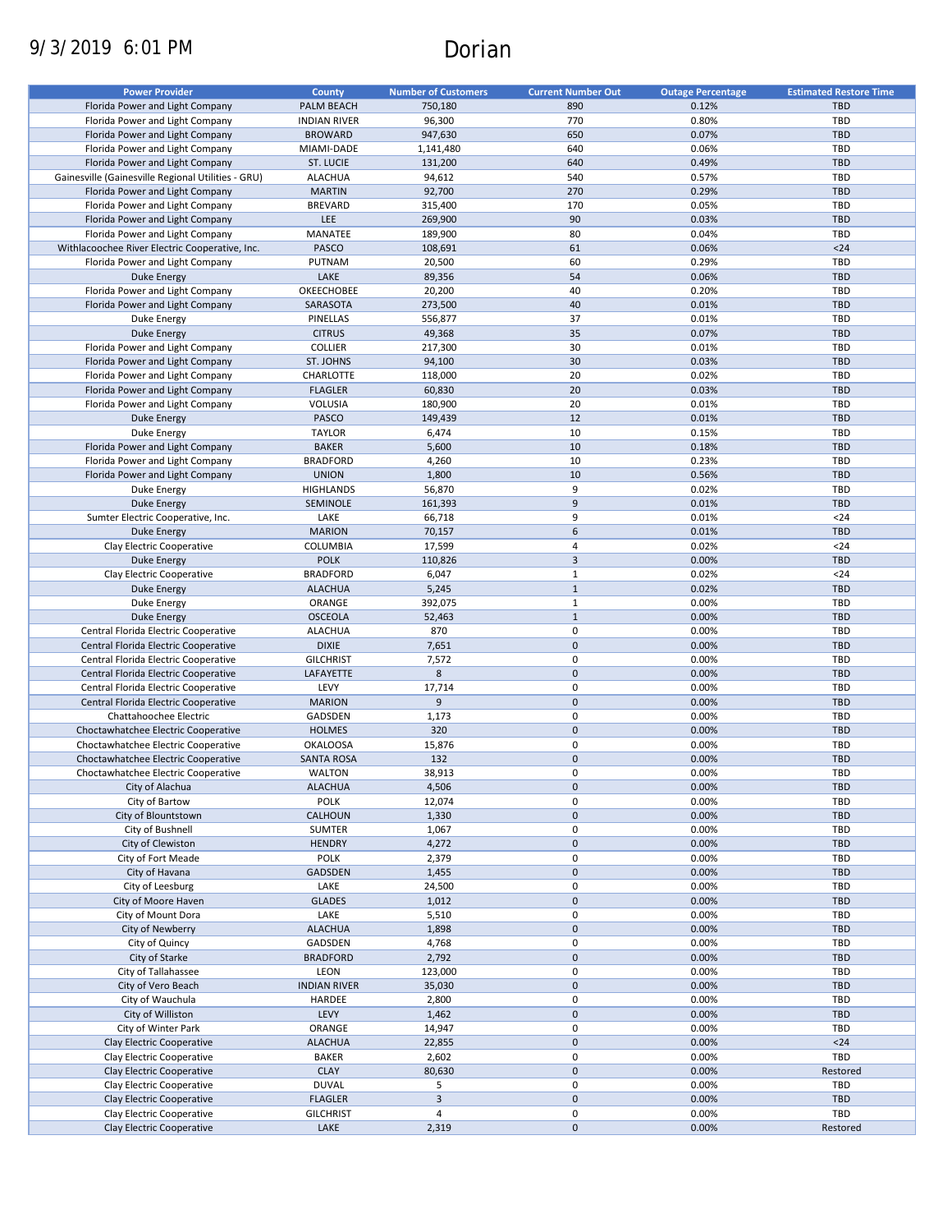# 9/3/2019 6:01 PM Dorian

| <b>Power Provider</b>                              | <b>County</b>       | <b>Number of Customers</b> | <b>Current Number Out</b> | <b>Outage Percentage</b> | <b>Estimated Restore Time</b> |
|----------------------------------------------------|---------------------|----------------------------|---------------------------|--------------------------|-------------------------------|
| Florida Power and Light Company                    | PALM BEACH          | 750.180                    | 890                       | 0.12%                    | <b>TBD</b>                    |
| Florida Power and Light Company                    | <b>INDIAN RIVER</b> | 96,300                     | 770                       | 0.80%                    | TBD                           |
| Florida Power and Light Company                    | <b>BROWARD</b>      | 947,630                    | 650                       | 0.07%                    | <b>TBD</b>                    |
| Florida Power and Light Company                    | MIAMI-DADE          | 1,141,480                  | 640                       | 0.06%                    | <b>TBD</b>                    |
| Florida Power and Light Company                    | ST. LUCIE           | 131,200                    | 640                       | 0.49%                    | <b>TBD</b>                    |
| Gainesville (Gainesville Regional Utilities - GRU) | <b>ALACHUA</b>      | 94,612                     | 540                       | 0.57%                    | TBD                           |
| Florida Power and Light Company                    | <b>MARTIN</b>       | 92,700                     | 270                       | 0.29%                    | <b>TBD</b>                    |
| Florida Power and Light Company                    |                     |                            | 170                       | 0.05%                    | <b>TBD</b>                    |
|                                                    | <b>BREVARD</b>      | 315,400                    |                           |                          |                               |
| Florida Power and Light Company                    | <b>LEE</b>          | 269,900                    | 90                        | 0.03%                    | <b>TBD</b>                    |
| Florida Power and Light Company                    | MANATEE             | 189,900                    | 80                        | 0.04%                    | TBD                           |
| Withlacoochee River Electric Cooperative, Inc.     | PASCO               | 108,691                    | 61                        | 0.06%                    | $24$                          |
| Florida Power and Light Company                    | PUTNAM              | 20,500                     | 60                        | 0.29%                    | TBD                           |
| <b>Duke Energy</b>                                 | LAKE                | 89,356                     | 54                        | 0.06%                    | <b>TBD</b>                    |
| Florida Power and Light Company                    | OKEECHOBEE          | 20,200                     | 40                        | 0.20%                    | TBD                           |
| Florida Power and Light Company                    | SARASOTA            | 273,500                    | 40                        | 0.01%                    | <b>TBD</b>                    |
| Duke Energy                                        | PINELLAS            | 556,877                    | 37                        | 0.01%                    | TBD                           |
| <b>Duke Energy</b>                                 | <b>CITRUS</b>       | 49,368                     | 35                        | 0.07%                    | <b>TBD</b>                    |
| Florida Power and Light Company                    | <b>COLLIER</b>      | 217,300                    | 30                        | 0.01%                    | <b>TBD</b>                    |
| Florida Power and Light Company                    | ST. JOHNS           | 94,100                     | 30                        | 0.03%                    | <b>TBD</b>                    |
| Florida Power and Light Company                    | CHARLOTTE           | 118,000                    | 20                        | 0.02%                    | <b>TBD</b>                    |
| Florida Power and Light Company                    | <b>FLAGLER</b>      | 60,830                     | 20                        | 0.03%                    | <b>TBD</b>                    |
| Florida Power and Light Company                    | VOLUSIA             | 180,900                    | 20                        | 0.01%                    | <b>TBD</b>                    |
| <b>Duke Energy</b>                                 | <b>PASCO</b>        | 149,439                    | 12                        | 0.01%                    | <b>TBD</b>                    |
| Duke Energy                                        | <b>TAYLOR</b>       | 6,474                      | 10                        | 0.15%                    | <b>TBD</b>                    |
| Florida Power and Light Company                    | <b>BAKER</b>        | 5,600                      | 10                        | 0.18%                    | <b>TBD</b>                    |
| Florida Power and Light Company                    | <b>BRADFORD</b>     | 4,260                      | 10                        | 0.23%                    | TBD                           |
| Florida Power and Light Company                    | <b>UNION</b>        | 1,800                      | 10                        | 0.56%                    | <b>TBD</b>                    |
| Duke Energy                                        | <b>HIGHLANDS</b>    | 56,870                     | 9                         | 0.02%                    | <b>TBD</b>                    |
|                                                    |                     |                            | 9                         |                          | <b>TBD</b>                    |
| <b>Duke Energy</b>                                 | SEMINOLE            | 161,393                    |                           | 0.01%                    |                               |
| Sumter Electric Cooperative, Inc.                  | LAKE                | 66,718                     | 9                         | 0.01%                    | $24$                          |
| <b>Duke Energy</b>                                 | <b>MARION</b>       | 70,157                     | 6                         | 0.01%                    | <b>TBD</b>                    |
| Clay Electric Cooperative                          | COLUMBIA            | 17,599                     | 4                         | 0.02%                    | $24$                          |
| <b>Duke Energy</b>                                 | <b>POLK</b>         | 110,826                    | 3                         | 0.00%                    | <b>TBD</b>                    |
| Clay Electric Cooperative                          | <b>BRADFORD</b>     | 6,047                      | $\mathbf 1$               | 0.02%                    | $24$                          |
| <b>Duke Energy</b>                                 | <b>ALACHUA</b>      | 5,245                      | $\mathbf{1}$              | 0.02%                    | <b>TBD</b>                    |
| Duke Energy                                        | ORANGE              | 392,075                    | $\mathbf{1}$              | 0.00%                    | TBD                           |
| <b>Duke Energy</b>                                 | <b>OSCEOLA</b>      | 52,463                     | $\mathbf{1}$              | 0.00%                    | <b>TBD</b>                    |
| Central Florida Electric Cooperative               | <b>ALACHUA</b>      | 870                        | 0                         | 0.00%                    | TBD                           |
| Central Florida Electric Cooperative               | <b>DIXIE</b>        | 7,651                      | $\pmb{0}$                 | 0.00%                    | <b>TBD</b>                    |
| Central Florida Electric Cooperative               | <b>GILCHRIST</b>    | 7,572                      | $\pmb{0}$                 | 0.00%                    | TBD                           |
| Central Florida Electric Cooperative               | LAFAYETTE           | 8                          | $\pmb{0}$                 | 0.00%                    | <b>TBD</b>                    |
| Central Florida Electric Cooperative               | LEVY                | 17,714                     | 0                         | 0.00%                    | TBD                           |
| Central Florida Electric Cooperative               | <b>MARION</b>       | 9                          | $\pmb{0}$                 | 0.00%                    | <b>TBD</b>                    |
| Chattahoochee Electric                             | GADSDEN             | 1,173                      | 0                         | 0.00%                    | <b>TBD</b>                    |
| Choctawhatchee Electric Cooperative                | <b>HOLMES</b>       | 320                        | $\pmb{0}$                 | 0.00%                    | <b>TBD</b>                    |
| Choctawhatchee Electric Cooperative                | <b>OKALOOSA</b>     | 15,876                     | 0                         | 0.00%                    | <b>TBD</b>                    |
| Choctawhatchee Electric Cooperative                | <b>SANTA ROSA</b>   | 132                        | $\pmb{0}$                 | 0.00%                    | <b>TBD</b>                    |
| Choctawhatchee Electric Cooperative                | <b>WALTON</b>       | 38,913                     | $\mathbf 0$               | 0.00%                    | TBD                           |
| City of Alachua                                    | <b>ALACHUA</b>      | 4,506                      | $\pmb{0}$                 | 0.00%                    | TBD                           |
| City of Bartow                                     | <b>POLK</b>         | 12,074                     | 0                         | 0.00%                    | TBD                           |
|                                                    |                     |                            |                           |                          |                               |
| City of Blountstown                                | CALHOUN             | 1,330                      | $\pmb{0}$<br>0            | 0.00%                    | <b>TBD</b><br>TBD             |
| City of Bushnell                                   | SUMTER              | 1,067                      |                           | 0.00%                    |                               |
| City of Clewiston                                  | <b>HENDRY</b>       | 4,272                      | $\pmb{0}$                 | 0.00%                    | TBD                           |
| City of Fort Meade                                 | POLK                | 2,379                      | 0                         | 0.00%                    | TBD                           |
| City of Havana                                     | GADSDEN             | 1,455                      | $\pmb{0}$                 | 0.00%                    | TBD                           |
| City of Leesburg                                   | LAKE                | 24,500                     | 0                         | 0.00%                    | TBD                           |
| City of Moore Haven                                | <b>GLADES</b>       | 1,012                      | $\pmb{0}$                 | 0.00%                    | <b>TBD</b>                    |
| City of Mount Dora                                 | LAKE                | 5,510                      | 0                         | 0.00%                    | TBD                           |
| City of Newberry                                   | <b>ALACHUA</b>      | 1,898                      | $\pmb{0}$                 | 0.00%                    | <b>TBD</b>                    |
| City of Quincy                                     | GADSDEN             | 4,768                      | 0                         | 0.00%                    | TBD                           |
| City of Starke                                     | <b>BRADFORD</b>     | 2,792                      | $\pmb{0}$                 | 0.00%                    | <b>TBD</b>                    |
| City of Tallahassee                                | LEON                | 123,000                    | 0                         | 0.00%                    | TBD                           |
| City of Vero Beach                                 | <b>INDIAN RIVER</b> | 35,030                     | $\pmb{0}$                 | 0.00%                    | <b>TBD</b>                    |
| City of Wauchula                                   | HARDEE              | 2,800                      | 0                         | 0.00%                    | TBD                           |
| City of Williston                                  | LEVY                | 1,462                      | $\pmb{0}$                 | 0.00%                    | <b>TBD</b>                    |
| City of Winter Park                                | ORANGE              | 14,947                     | 0                         | 0.00%                    | TBD                           |
| Clay Electric Cooperative                          | <b>ALACHUA</b>      | 22,855                     | $\pmb{0}$                 | 0.00%                    | $<24$                         |
| Clay Electric Cooperative                          | <b>BAKER</b>        | 2,602                      | 0                         | 0.00%                    | TBD                           |
| Clay Electric Cooperative                          | <b>CLAY</b>         | 80,630                     | $\pmb{0}$                 | 0.00%                    | Restored                      |
| Clay Electric Cooperative                          | <b>DUVAL</b>        | 5                          | 0                         | 0.00%                    | TBD                           |
| Clay Electric Cooperative                          | <b>FLAGLER</b>      | $\overline{\mathbf{3}}$    | $\pmb{0}$                 | 0.00%                    | <b>TBD</b>                    |
|                                                    |                     |                            | 0                         |                          |                               |
| Clay Electric Cooperative                          | <b>GILCHRIST</b>    | 4                          |                           | 0.00%                    | TBD                           |
| Clay Electric Cooperative                          | LAKE                | 2,319                      | $\pmb{0}$                 | 0.00%                    | Restored                      |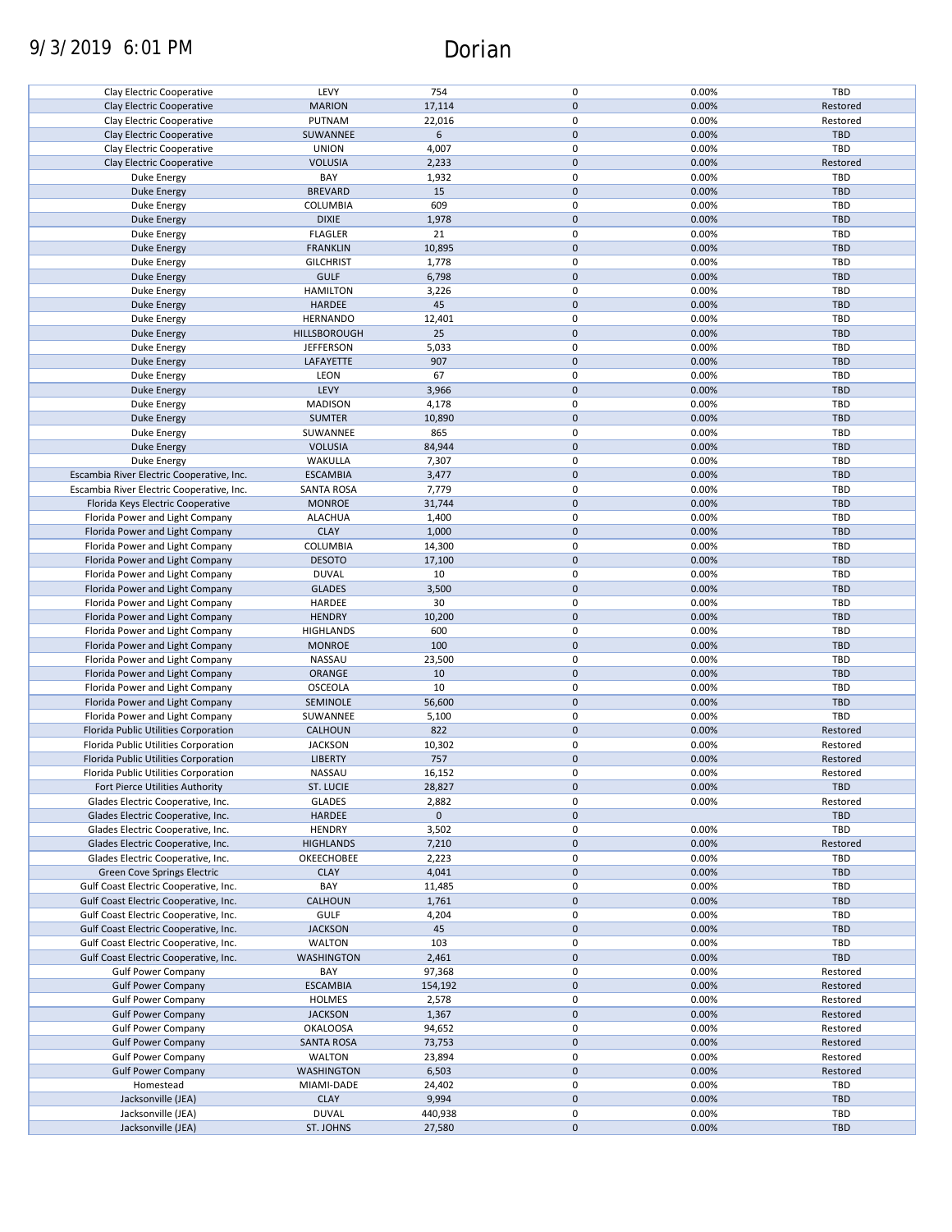# 9/3/2019 6:01 PM Dorian

| Clay Electric Cooperative                 | LEVY                | 754         | 0           | 0.00% | TBD        |
|-------------------------------------------|---------------------|-------------|-------------|-------|------------|
| Clay Electric Cooperative                 | <b>MARION</b>       | 17,114      | $\pmb{0}$   | 0.00% | Restored   |
| Clay Electric Cooperative                 | PUTNAM              | 22,016      | 0           | 0.00% | Restored   |
| Clay Electric Cooperative                 | SUWANNEE            | 6           | $\pmb{0}$   | 0.00% | <b>TBD</b> |
|                                           |                     |             |             |       |            |
| Clay Electric Cooperative                 | <b>UNION</b>        | 4,007       | 0           | 0.00% | TBD        |
| Clay Electric Cooperative                 | <b>VOLUSIA</b>      | 2,233       | $\pmb{0}$   | 0.00% | Restored   |
| Duke Energy                               | BAY                 | 1,932       | 0           | 0.00% | TBD        |
| Duke Energy                               | <b>BREVARD</b>      | 15          | $\pmb{0}$   | 0.00% | <b>TBD</b> |
| Duke Energy                               | COLUMBIA            | 609         | 0           | 0.00% | TBD        |
|                                           |                     |             |             |       |            |
| <b>Duke Energy</b>                        | <b>DIXIE</b>        | 1,978       | $\pmb{0}$   | 0.00% | <b>TBD</b> |
| Duke Energy                               | <b>FLAGLER</b>      | 21          | 0           | 0.00% | TBD        |
| Duke Energy                               | <b>FRANKLIN</b>     | 10,895      | $\pmb{0}$   | 0.00% | <b>TBD</b> |
| Duke Energy                               | <b>GILCHRIST</b>    | 1,778       | 0           | 0.00% | TBD        |
| Duke Energy                               | <b>GULF</b>         | 6,798       | $\pmb{0}$   | 0.00% | <b>TBD</b> |
|                                           |                     |             |             |       |            |
| Duke Energy                               | <b>HAMILTON</b>     | 3,226       | 0           | 0.00% | <b>TBD</b> |
| <b>Duke Energy</b>                        | <b>HARDEE</b>       | 45          | $\pmb{0}$   | 0.00% | <b>TBD</b> |
| Duke Energy                               | <b>HERNANDO</b>     | 12,401      | 0           | 0.00% | <b>TBD</b> |
| <b>Duke Energy</b>                        | <b>HILLSBOROUGH</b> | 25          | $\mathbf 0$ | 0.00% | <b>TBD</b> |
|                                           |                     |             | 0           |       |            |
| Duke Energy                               | <b>JEFFERSON</b>    | 5,033       |             | 0.00% | TBD        |
| <b>Duke Energy</b>                        | LAFAYETTE           | 907         | $\pmb{0}$   | 0.00% | TBD        |
| Duke Energy                               | LEON                | 67          | $\pmb{0}$   | 0.00% | <b>TBD</b> |
| <b>Duke Energy</b>                        | LEVY                | 3,966       | $\mathbf 0$ | 0.00% | <b>TBD</b> |
| <b>Duke Energy</b>                        | <b>MADISON</b>      | 4,178       | $\mathbf 0$ | 0.00% | <b>TBD</b> |
|                                           |                     |             |             |       |            |
| <b>Duke Energy</b>                        | <b>SUMTER</b>       | 10,890      | $\pmb{0}$   | 0.00% | <b>TBD</b> |
| Duke Energy                               | SUWANNEE            | 865         | 0           | 0.00% | <b>TBD</b> |
| Duke Energy                               | <b>VOLUSIA</b>      | 84,944      | $\pmb{0}$   | 0.00% | <b>TBD</b> |
| Duke Energy                               | WAKULLA             | 7,307       | 0           | 0.00% | TBD        |
|                                           |                     |             |             |       |            |
| Escambia River Electric Cooperative, Inc. | <b>ESCAMBIA</b>     | 3,477       | $\pmb{0}$   | 0.00% | <b>TBD</b> |
| Escambia River Electric Cooperative, Inc. | <b>SANTA ROSA</b>   | 7,779       | 0           | 0.00% | TBD        |
| Florida Keys Electric Cooperative         | <b>MONROE</b>       | 31,744      | $\pmb{0}$   | 0.00% | <b>TBD</b> |
| Florida Power and Light Company           | <b>ALACHUA</b>      | 1,400       | 0           | 0.00% | <b>TBD</b> |
| Florida Power and Light Company           | <b>CLAY</b>         | 1,000       | $\pmb{0}$   | 0.00% | <b>TBD</b> |
|                                           |                     |             |             |       |            |
| Florida Power and Light Company           | COLUMBIA            | 14,300      | 0           | 0.00% | TBD        |
| Florida Power and Light Company           | <b>DESOTO</b>       | 17,100      | $\pmb{0}$   | 0.00% | <b>TBD</b> |
| Florida Power and Light Company           | <b>DUVAL</b>        | 10          | 0           | 0.00% | TBD        |
| Florida Power and Light Company           | <b>GLADES</b>       | 3,500       | $\pmb{0}$   | 0.00% | <b>TBD</b> |
| Florida Power and Light Company           | HARDEE              | 30          | 0           | 0.00% | TBD        |
|                                           |                     |             |             |       |            |
| Florida Power and Light Company           | <b>HENDRY</b>       | 10,200      | $\pmb{0}$   | 0.00% | <b>TBD</b> |
| Florida Power and Light Company           | <b>HIGHLANDS</b>    | 600         | 0           | 0.00% | TBD        |
| Florida Power and Light Company           | <b>MONROE</b>       | 100         | $\mathbf 0$ | 0.00% | <b>TBD</b> |
| Florida Power and Light Company           | NASSAU              | 23,500      | $\pmb{0}$   | 0.00% | TBD        |
|                                           |                     |             | $\mathbf 0$ |       |            |
| Florida Power and Light Company           | ORANGE              | 10          |             | 0.00% | <b>TBD</b> |
| Florida Power and Light Company           | <b>OSCEOLA</b>      | 10          | 0           | 0.00% | TBD        |
| Florida Power and Light Company           | SEMINOLE            | 56,600      | $\pmb{0}$   | 0.00% | <b>TBD</b> |
| Florida Power and Light Company           | SUWANNEE            | 5,100       | 0           | 0.00% | TBD        |
| Florida Public Utilities Corporation      | CALHOUN             | 822         | $\pmb{0}$   | 0.00% | Restored   |
|                                           |                     |             |             |       |            |
| Florida Public Utilities Corporation      | <b>JACKSON</b>      | 10,302      | 0           | 0.00% | Restored   |
| Florida Public Utilities Corporation      | <b>LIBERTY</b>      | 757         | $\pmb{0}$   | 0.00% | Restored   |
| Florida Public Utilities Corporation      | NASSAU              | 16,152      | 0           | 0.00% | Restored   |
| Fort Pierce Utilities Authority           | ST. LUCIE           | 28,827      | $\pmb{0}$   | 0.00% | TBD        |
|                                           |                     |             | 0           |       |            |
| Glades Electric Cooperative, Inc.         | <b>GLADES</b>       | 2,882       |             | 0.00% | Restored   |
| Glades Electric Cooperative, Inc.         | <b>HARDEE</b>       | $\mathbf 0$ | $\pmb{0}$   |       | <b>TBD</b> |
| Glades Electric Cooperative, Inc.         | <b>HENDRY</b>       | 3,502       | 0           | 0.00% | TBD        |
| Glades Electric Cooperative, Inc.         | <b>HIGHLANDS</b>    | 7,210       | $\pmb{0}$   | 0.00% | Restored   |
| Glades Electric Cooperative, Inc.         | OKEECHOBEE          | 2,223       | 0           | 0.00% | TBD        |
|                                           |                     |             | $\pmb{0}$   | 0.00% |            |
| Green Cove Springs Electric               | <b>CLAY</b>         | 4,041       |             |       | <b>TBD</b> |
| Gulf Coast Electric Cooperative, Inc.     | BAY                 | 11,485      | 0           | 0.00% | TBD        |
| Gulf Coast Electric Cooperative, Inc.     | CALHOUN             | 1,761       | $\pmb{0}$   | 0.00% | <b>TBD</b> |
| Gulf Coast Electric Cooperative, Inc.     | <b>GULF</b>         | 4,204       | 0           | 0.00% | TBD        |
| Gulf Coast Electric Cooperative, Inc.     | <b>JACKSON</b>      | 45          | $\pmb{0}$   | 0.00% | <b>TBD</b> |
|                                           |                     |             |             |       |            |
| Gulf Coast Electric Cooperative, Inc.     | <b>WALTON</b>       | 103         | 0           | 0.00% | TBD        |
| Gulf Coast Electric Cooperative, Inc.     | <b>WASHINGTON</b>   | 2,461       | $\pmb{0}$   | 0.00% | TBD        |
| <b>Gulf Power Company</b>                 | BAY                 | 97,368      | 0           | 0.00% | Restored   |
| <b>Gulf Power Company</b>                 | <b>ESCAMBIA</b>     | 154,192     | $\pmb{0}$   | 0.00% | Restored   |
| <b>Gulf Power Company</b>                 | <b>HOLMES</b>       | 2,578       | 0           | 0.00% | Restored   |
|                                           |                     |             |             |       |            |
| <b>Gulf Power Company</b>                 | <b>JACKSON</b>      | 1,367       | $\pmb{0}$   | 0.00% | Restored   |
| <b>Gulf Power Company</b>                 | <b>OKALOOSA</b>     | 94,652      | 0           | 0.00% | Restored   |
| <b>Gulf Power Company</b>                 | <b>SANTA ROSA</b>   | 73,753      | $\pmb{0}$   | 0.00% | Restored   |
| <b>Gulf Power Company</b>                 | WALTON              | 23,894      | 0           | 0.00% | Restored   |
|                                           |                     |             | $\pmb{0}$   | 0.00% | Restored   |
| <b>Gulf Power Company</b>                 | <b>WASHINGTON</b>   | 6,503       |             |       |            |
| Homestead                                 | MIAMI-DADE          | 24,402      | 0           | 0.00% | TBD        |
| Jacksonville (JEA)                        | <b>CLAY</b>         | 9,994       | $\pmb{0}$   | 0.00% | <b>TBD</b> |
| Jacksonville (JEA)                        | <b>DUVAL</b>        | 440,938     | 0           | 0.00% | TBD        |
| Jacksonville (JEA)                        | ST. JOHNS           | 27,580      | $\pmb{0}$   | 0.00% | TBD        |
|                                           |                     |             |             |       |            |